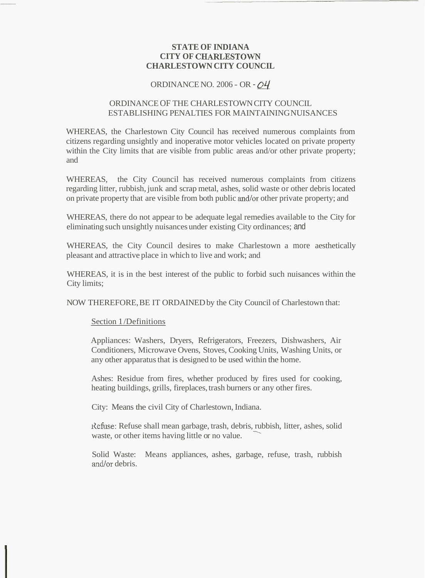## **STATE OF INDIANA CITY OF CHARLESTOWN CHARLESTOWN CITY COUNCIL**

# ORDINANCE NO. 2006 - OR - *Q4*

## ORDINANCE OF THE CHARLESTOWN CITY COUNCIL ESTABLISHING PENALTIES FOR MAINTAINING NUISANCES

WHEREAS, the Charlestown City Council has received numerous complaints from citizens regarding unsightly and inoperative motor vehicles located on private property within the City limits that are visible from public areas and/or other private property; and

WHEREAS, the City Council has received numerous complaints from citizens regarding litter, rubbish, junk and scrap metal, ashes, solid waste or other debris located on private property that are visible from both public and/or other private property; and

WHEREAS, there do not appear to be adequate legal remedies available to the City for eliminating such unsightly nuisances under existing City ordinances; and

WHEREAS, the City Council desires to make Charlestown a more aesthetically pleasant and attractive place in which to live and work; and

WHEREAS, it is in the best interest of the public to forbid such nuisances within the City limits;

NOW THEREFORE, BE IT ORDAINED by the City Council of Charlestown that:

## Section 1 /Definitions

Appliances: Washers, Dryers, Refrigerators, Freezers, Dishwashers, Air Conditioners, Microwave Ovens, Stoves, Cooking Units, Washing Units, or any other apparatus that is designed to be used within the home.

Ashes: Residue from fires, whether produced by fires used for cooking, heating buildings, grills, fireplaces, trash burners or any other fires.

City: Means the civil City of Charlestown, Indiana.

Aefuse: Refuse shall mean garbage, trash, debris, rubbish, litter, ashes, solid Refuse: Refuse shall mean garbage, trash, debris, rubbi<br>waste, or other items having little or no value.

Solid Waste: Means appliances, ashes, garbage, refuse, trash, rubbish and/or debris.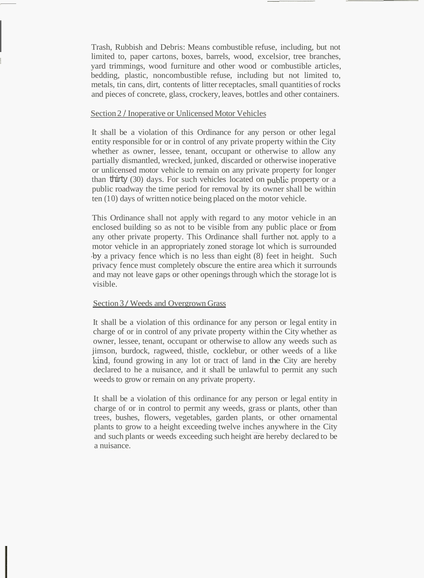Trash, Rubbish and Debris: Means combustible refuse, including, but not limited to, paper cartons, boxes, barrels, wood, excelsior, tree branches, yard trimmings, wood furniture and other wood or combustible articles, bedding, plastic, noncombustible refuse, including but not limited to, metals, tin cans, dirt, contents of litter receptacles, small quantities of rocks and pieces of concrete, glass, crockery, leaves, bottles and other containers.

## Section 2 / Inoperative or Unlicensed Motor Vehicles

It shall be a violation of this Ordinance for any person or other legal entity responsible for or in control of any private property within the City whether as owner, lessee, tenant, occupant or otherwise to allow any partially dismantled, wrecked, junked, discarded or otherwise inoperative or unlicensed motor vehicle to remain on any private property for longer than thirty (30) days. For such vehicles located on public property or a public roadway the time period for removal by its owner shall be within  $t$ en (10) days of written notice being placed on the motor vehicle.

This Ordinance shall not apply with regard to any motor vehicle in an enclosed building so as not to be visible from any public place or from any other private property. This Ordinance shall further not. apply to a motor vehicle in an appropriately zoned storage lot which is surrounded .by a privacy fence which is no less than eight (8) feet in height. Such privacy fence must completely obscure the entire area which it surrounds and may not leave gaps or other openings through which the storage lot is visible.

## Section 3 / Weeds and Overgrown Grass

It shall be a violation of this ordinance for any person or legal entity in charge of or in control of any private property within the City whether as owner, lessee, tenant, occupant or otherwise to allow any weeds such as jimson, burdock, ragweed, thistle, cocklebur, or other weeds of a like kind, found growing in any lot or tract of land in the City are hereby declared to he a nuisance, and it shall be unlawful to permit any such weeds to grow or remain on any private property.

It shall be a violation of this ordinance for any person or legal entity in charge of or in control to permit any weeds, grass or plants, other than trees, bushes, flowers, vegetables, garden plants, or other ornamental plants to grow to a height exceeding twelve inches anywhere in the City and such plants or weeds exceeding such height are hereby declared to be a nuisance.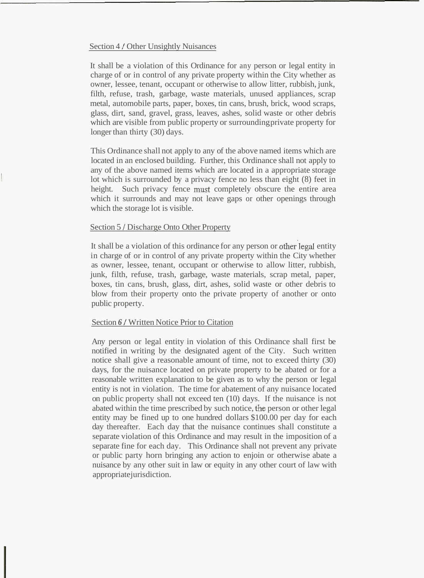## Section 4 / Other Unsightly Nuisances

It shall be a violation of this Ordinance for any person or legal entity in charge of or in control of any private property within the City whether as owner, lessee, tenant, occupant or otherwise to allow litter, rubbish, junk, filth, refuse, trash, garbage, waste materials, unused appliances, scrap metal, automobile parts, paper, boxes, tin cans, brush, brick, wood scraps, glass, dirt, sand, gravel, grass, leaves, ashes, solid waste or other debris which are visible from public property or surrounding private property for longer than thirty (30) days.

This Ordinance shall not apply to any of the above named items which are located in an enclosed building. Further, this Ordinance shall not apply to any of the above named items which are located in a appropriate storage lot which is surrounded by a privacy fence no less than eight (8) feet in height. Such privacy fence must completely obscure the entire area which it surrounds and may not leave gaps or other openings through which the storage lot is visible.

## Section 5 / Discharge Onto Other Property

It shall be a violation of this ordinance for any person or other legal entity in charge of or in control of any private property within the City whether as owner, lessee, tenant, occupant or otherwise to allow litter, rubbish, junk, filth, refuse, trash, garbage, waste materials, scrap metal, paper, boxes, tin cans, brush, glass, dirt, ashes, solid waste or other debris to blow from their property onto the private property of another or onto public property.

#### Section *6* / Written Notice Prior to Citation

Any person or legal entity in violation of this Ordinance shall first be notified in writing by the designated agent of the City. Such written notice shall give a reasonable amount of time, not to exceed thirty (30) days, for the nuisance located on private property to be abated or for a reasonable written explanation to be given as to why the person or legal entity is not in violation. The time for abatement of any nuisance located on public property shall not exceed ten (10) days. If the nuisance is not abated within the time prescribed by such notice, the person or other legal entity may be fined up to one hundred dollars \$100.00 per day for each day thereafter. Each day that the nuisance continues shall constitute a separate violation of this Ordinance and may result in the imposition of a separate fine for each day. This Ordinance shall not prevent any private or public party horn bringing any action to enjoin or otherwise abate a nuisance by any other suit in law or equity in any other court of law with appropriate jurisdiction.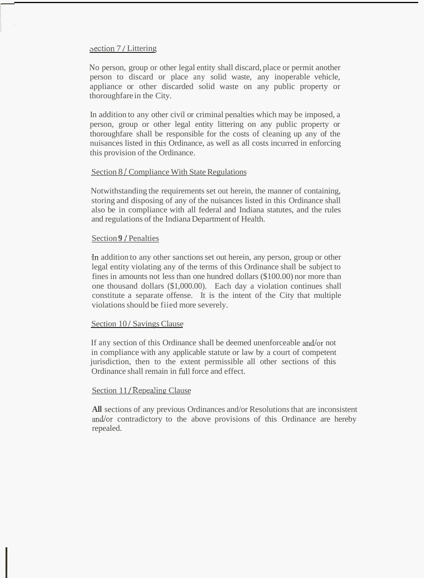### oection 7 / Littering

No person, group or other legal entity shall discard, place or permit another person to discard or place any solid waste, any inoperable vehicle, appliance or other discarded solid waste on any public property or thoroughfare in the City.

In addition to any other civil or criminal penalties which may be imposed, a person, group or other legal entity littering on any public property or thoroughfare shall be responsible for the costs of cleaning up any of the nuisances listed in this Ordinance, as well as all costs incurred in enforcing this provision of the Ordinance.

### Section 8 / Compliance With State Regulations

Notwithstanding the requirements set out herein, the manner of containing, storing and disposing of any of the nuisances listed in this Ordinance shall also be in compliance with all federal and Indiana statutes, and the rules and regulations of the Indiana Department of Health.

## Section **9** *I* Penalties

.In addition to any other sanctions set out herein, any person, group or other legal entity violating any of the terms of this Ordinance shall be subject to fines in amounts not less than one hundred dollars (\$100.00) nor more than one thousand dollars (\$1,000.00). Each day a violation continues shall constitute a separate offense. It is the intent of the City that multiple violations should be fiied more severely.

## Section 10/ Savings Clause

If any section of this Ordinance shall be deemed unenforceable and/or not in compliance with any applicable statute or law by a court of competent jurisdiction, then to the extent permissible all other sections of this Ordinance shall remain in full force and effect.

#### Section 11/ Repealing Clause

**All** sections of any previous Ordinances and/or Resolutions that are inconsistent and/or contradictory to the above provisions of this Ordinance are hereby repealed.